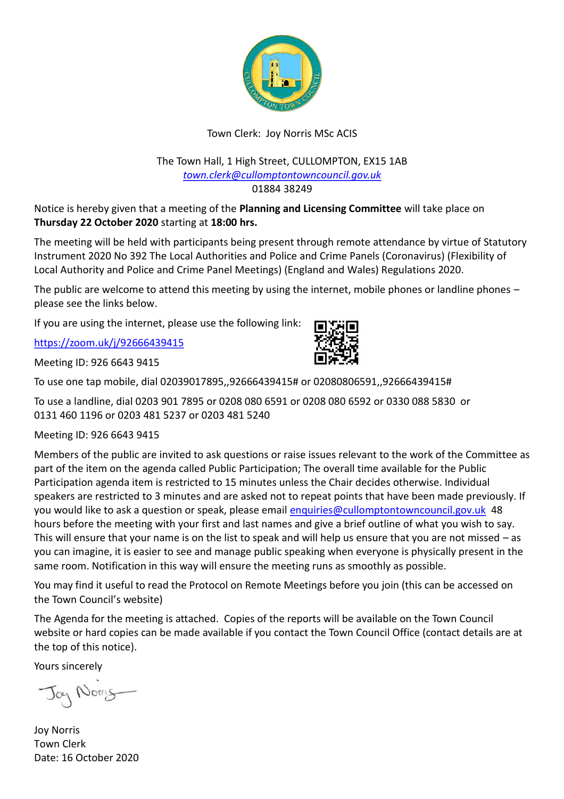

## Town Clerk: Joy Norris MSc ACIS

#### The Town Hall, 1 High Street, CULLOMPTON, EX15 1AB *[town.clerk@cullomptontowncouncil.gov.uk](mailto:town.clerk@cullomptontowncouncil.gov.uk)* 01884 38249

Notice is hereby given that a meeting of the **Planning and Licensing Committee** will take place on **Thursday 22 October 2020** starting at **18:00 hrs.**

The meeting will be held with participants being present through remote attendance by virtue of Statutory Instrument 2020 No 392 The Local Authorities and Police and Crime Panels (Coronavirus) (Flexibility of Local Authority and Police and Crime Panel Meetings) (England and Wales) Regulations 2020.

The public are welcome to attend this meeting by using the internet, mobile phones or landline phones – please see the links below.

If you are using the internet, please use the following link:

<https://zoom.uk/j/92666439415>

Meeting ID: 926 6643 9415



To use a landline, dial 0203 901 7895 or 0208 080 6591 or 0208 080 6592 or 0330 088 5830 or 0131 460 1196 or 0203 481 5237 or 0203 481 5240

Meeting ID: 926 6643 9415

Members of the public are invited to ask questions or raise issues relevant to the work of the Committee as part of the item on the agenda called Public Participation; The overall time available for the Public Participation agenda item is restricted to 15 minutes unless the Chair decides otherwise. Individual speakers are restricted to 3 minutes and are asked not to repeat points that have been made previously. If you would like to ask a question or speak, please email [enquiries@cullomptontowncouncil.gov.uk](mailto:enquiries@cullomptontowncouncil.gov.uk) 48 hours before the meeting with your first and last names and give a brief outline of what you wish to say. This will ensure that your name is on the list to speak and will help us ensure that you are not missed – as you can imagine, it is easier to see and manage public speaking when everyone is physically present in the same room. Notification in this way will ensure the meeting runs as smoothly as possible.

You may find it useful to read the Protocol on Remote Meetings before you join (this can be accessed on the Town Council's website)

The Agenda for the meeting is attached. Copies of the reports will be available on the Town Council website or hard copies can be made available if you contact the Town Council Office (contact details are at the top of this notice).

Yours sincerely

Jay Norris

Joy Norris Town Clerk Date: 16 October 2020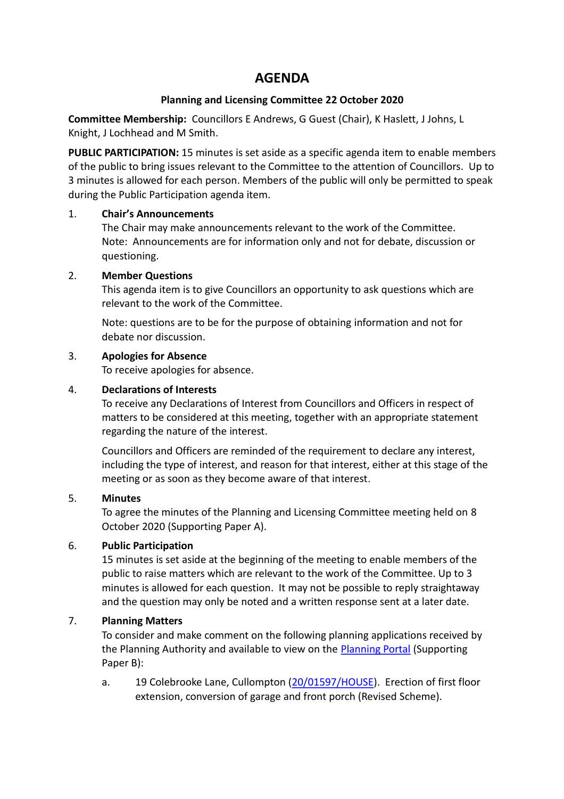# **AGENDA**

## **Planning and Licensing Committee 22 October 2020**

**Committee Membership:** Councillors E Andrews, G Guest (Chair), K Haslett, J Johns, L Knight, J Lochhead and M Smith.

**PUBLIC PARTICIPATION:** 15 minutes is set aside as a specific agenda item to enable members of the public to bring issues relevant to the Committee to the attention of Councillors. Up to 3 minutes is allowed for each person. Members of the public will only be permitted to speak during the Public Participation agenda item.

#### 1. **Chair's Announcements**

The Chair may make announcements relevant to the work of the Committee. Note: Announcements are for information only and not for debate, discussion or questioning.

#### 2. **Member Questions**

This agenda item is to give Councillors an opportunity to ask questions which are relevant to the work of the Committee.

Note: questions are to be for the purpose of obtaining information and not for debate nor discussion.

#### 3. **Apologies for Absence**

To receive apologies for absence.

#### 4. **Declarations of Interests**

To receive any Declarations of Interest from Councillors and Officers in respect of matters to be considered at this meeting, together with an appropriate statement regarding the nature of the interest.

Councillors and Officers are reminded of the requirement to declare any interest, including the type of interest, and reason for that interest, either at this stage of the meeting or as soon as they become aware of that interest.

## 5. **Minutes**

To agree the minutes of the Planning and Licensing Committee meeting held on 8 October 2020 (Supporting Paper A).

## 6. **Public Participation**

15 minutes is set aside at the beginning of the meeting to enable members of the public to raise matters which are relevant to the work of the Committee. Up to 3 minutes is allowed for each question. It may not be possible to reply straightaway and the question may only be noted and a written response sent at a later date.

## 7. **Planning Matters**

To consider and make comment on the following planning applications received by the Planning Authority and available to view on the [Planning Portal](https://planning.middevon.gov.uk/online-applications/applicationDetails.do?activeTab=documents&keyVal=QEYF1XKS05K00) (Supporting Paper B):

a. 19 Colebrooke Lane, Cullompton [\(20/01597/HOUSE\)](https://planning.middevon.gov.uk/online-applications/applicationDetails.do?activeTab=documents&keyVal=QHGZC5KS07T00). Erection of first floor extension, conversion of garage and front porch (Revised Scheme).